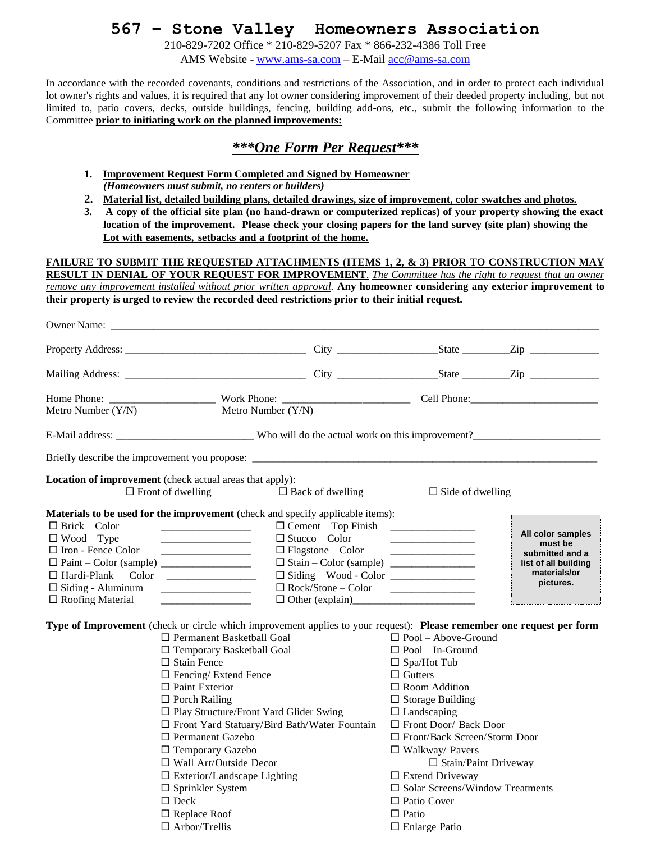## **567 – Stone Valley Homeowners Association**

210-829-7202 Office \* 210-829-5207 Fax \* 866-232-4386 Toll Free AMS Website - [www.ams-sa.com](http://www.ams-sa.com/) – E-Mail [acc@ams-sa.com](mailto:acc@ams-sa.com)

In accordance with the recorded covenants, conditions and restrictions of the Association, and in order to protect each individual lot owner's rights and values, it is required that any lot owner considering improvement of their deeded property including, but not limited to, patio covers, decks, outside buildings, fencing, building add-ons, etc., submit the following information to the Committee **prior to initiating work on the planned improvements:**

### *\*\*\*One Form Per Request\*\*\**

- **1. Improvement Request Form Completed and Signed by Homeowner** *(Homeowners must submit, no renters or builders)*
- **2. Material list, detailed building plans, detailed drawings, size of improvement, color swatches and photos.**
- **3. A copy of the official site plan (no hand-drawn or computerized replicas) of your property showing the exact location of the improvement. Please check your closing papers for the land survey (site plan) showing the Lot with easements, setbacks and a footprint of the home.**

#### **FAILURE TO SUBMIT THE REQUESTED ATTACHMENTS (ITEMS 1, 2, & 3) PRIOR TO CONSTRUCTION MAY RESULT IN DENIAL OF YOUR REQUEST FOR IMPROVEMENT**. *The Committee has the right to request that an owner*

*remove any improvement installed without prior written approval.* **Any homeowner considering any exterior improvement to their property is urged to review the recorded deed restrictions prior to their initial request.** 

| Owner Name:                                                                                                                                                                                                                                                                                                                |                                                                                                                                                                                                                                              |                                                                                                                                                                                                                                                                                                                                                                                                |                                                                                                      |
|----------------------------------------------------------------------------------------------------------------------------------------------------------------------------------------------------------------------------------------------------------------------------------------------------------------------------|----------------------------------------------------------------------------------------------------------------------------------------------------------------------------------------------------------------------------------------------|------------------------------------------------------------------------------------------------------------------------------------------------------------------------------------------------------------------------------------------------------------------------------------------------------------------------------------------------------------------------------------------------|------------------------------------------------------------------------------------------------------|
|                                                                                                                                                                                                                                                                                                                            |                                                                                                                                                                                                                                              |                                                                                                                                                                                                                                                                                                                                                                                                |                                                                                                      |
|                                                                                                                                                                                                                                                                                                                            |                                                                                                                                                                                                                                              |                                                                                                                                                                                                                                                                                                                                                                                                |                                                                                                      |
|                                                                                                                                                                                                                                                                                                                            |                                                                                                                                                                                                                                              |                                                                                                                                                                                                                                                                                                                                                                                                |                                                                                                      |
| Metro Number (Y/N)                                                                                                                                                                                                                                                                                                         | Metro Number (Y/N)                                                                                                                                                                                                                           |                                                                                                                                                                                                                                                                                                                                                                                                |                                                                                                      |
|                                                                                                                                                                                                                                                                                                                            |                                                                                                                                                                                                                                              |                                                                                                                                                                                                                                                                                                                                                                                                |                                                                                                      |
|                                                                                                                                                                                                                                                                                                                            |                                                                                                                                                                                                                                              |                                                                                                                                                                                                                                                                                                                                                                                                |                                                                                                      |
| <b>Location of improvement</b> (check actual areas that apply):<br>$\Box$ Front of dwelling                                                                                                                                                                                                                                | $\Box$ Back of dwelling                                                                                                                                                                                                                      | $\Box$ Side of dwelling                                                                                                                                                                                                                                                                                                                                                                        |                                                                                                      |
| Materials to be used for the improvement (check and specify applicable items):<br>$\Box$ Brick – Color<br>$\Box$ Wood – Type<br>$\Box$ Iron - Fence Color<br>$\Box$ Hardi-Plank – Color<br>$\Box$ Siding - Aluminum<br>$\Box$ Roofing Material<br>and the state of the state of the state of the state of the state of the | $\Box$ Stucco – Color<br>$\Box$ Flagstone – Color                                                                                                                                                                                            | $\Box$ Cement – Top Finish<br>$\Box$ Siding – Wood - Color<br>$\Box \text{ Rock/Stone} - \text{Color}$<br>$\Box$ Other (explain)                                                                                                                                                                                                                                                               | All color samples<br>must be<br>submitted and a<br>list of all building<br>materials/or<br>pictures. |
| Type of Improvement (check or circle which improvement applies to your request): Please remember one request per form<br>$\Box$ Stain Fence<br>$\Box$ Fencing/ Extend Fence<br>$\Box$ Paint Exterior<br>$\Box$ Porch Railing<br>□ Permanent Gazebo<br>□ Temporary Gazebo<br>$\Box$ Sprinkler System<br>$\Box$ Deck         | □ Permanent Basketball Goal<br>$\Box$ Temporary Basketball Goal<br>$\Box$ Play Structure/Front Yard Glider Swing<br>□ Front Yard Statuary/Bird Bath/Water Fountain<br>$\Box$ Wall Art/Outside Decor<br>$\square$ Exterior/Landscape Lighting | $\Box$ Pool – Above-Ground<br>$\Box$ Pool – In-Ground<br>$\Box$ Spa/Hot Tub<br>$\Box$ Gutters<br>$\Box$ Room Addition<br>$\Box$ Storage Building<br>$\Box$ Landscaping<br>□ Front Door/ Back Door<br>$\Box$ Front/Back Screen/Storm Door<br>$\Box$ Walkway/ Pavers<br>$\Box$ Stain/Paint Driveway<br>$\Box$ Extend Driveway<br>$\square$ Solar Screens/Window Treatments<br>$\Box$ Patio Cover |                                                                                                      |

 $\Box$  Replace Roof  $\Box$  Patio

 $\Box$  Arbor/Trellis  $\Box$  Enlarge Patio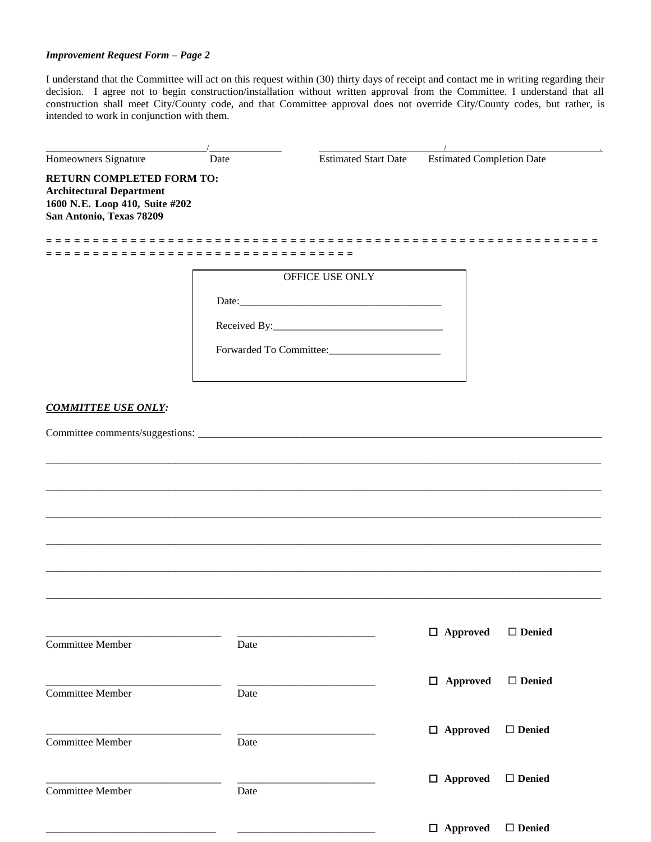#### *Improvement Request Form – Page 2*

I understand that the Committee will act on this request within (30) thirty days of receipt and contact me in writing regarding their decision. I agree not to begin construction/installation without written approval from the Committee. I understand that all construction shall meet City/County code, and that Committee approval does not override City/County codes, but rather, is intended to work in conjunction with them.

| Homeowners Signature                                                                                                              | Date                      | <b>Estimated Start Date</b> | <b>Estimated Completion Date</b> |               |
|-----------------------------------------------------------------------------------------------------------------------------------|---------------------------|-----------------------------|----------------------------------|---------------|
| <b>RETURN COMPLETED FORM TO:</b><br><b>Architectural Department</b><br>1600 N.E. Loop 410, Suite #202<br>San Antonio, Texas 78209 |                           |                             |                                  |               |
|                                                                                                                                   | ========================= |                             |                                  |               |
|                                                                                                                                   |                           | OFFICE USE ONLY             |                                  |               |
|                                                                                                                                   |                           |                             |                                  |               |
|                                                                                                                                   |                           |                             |                                  |               |
|                                                                                                                                   |                           |                             |                                  |               |
| <b>COMMITTEE USE ONLY:</b>                                                                                                        |                           |                             |                                  |               |
|                                                                                                                                   |                           |                             |                                  |               |
|                                                                                                                                   |                           |                             |                                  |               |
|                                                                                                                                   |                           |                             |                                  |               |
|                                                                                                                                   |                           |                             |                                  |               |
|                                                                                                                                   |                           |                             |                                  |               |
|                                                                                                                                   |                           |                             |                                  |               |
|                                                                                                                                   |                           |                             |                                  |               |
|                                                                                                                                   |                           |                             |                                  |               |
|                                                                                                                                   |                           |                             |                                  |               |
| <b>Committee Member</b>                                                                                                           | Date                      |                             | $\Box$ Approved                  | $\Box$ Denied |
|                                                                                                                                   |                           |                             |                                  |               |
| <b>Committee Member</b>                                                                                                           | Date                      |                             | $\Box$ Approved                  | $\Box$ Denied |
|                                                                                                                                   |                           |                             |                                  |               |
| Committee Member                                                                                                                  | Date                      |                             | $\Box$ Approved                  | $\Box$ Denied |
|                                                                                                                                   |                           |                             |                                  |               |
| <b>Committee Member</b>                                                                                                           | Date                      |                             | $\Box$ Approved                  | $\Box$ Denied |
|                                                                                                                                   |                           |                             |                                  |               |
|                                                                                                                                   |                           |                             | $\Box$ Approved                  | □ Denied      |